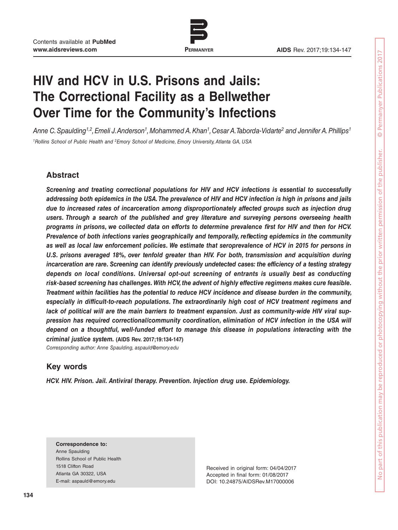

# **HIV and HCV in U.S. Prisons and Jails: The Correctional Facility as a Bellwether Over Time for the Community's Infections**

Anne C. Spaulding<sup>1,2</sup>, Emeli J. Anderson<sup>1</sup>, Mohammed A. Khan<sup>1</sup>, Cesar A. Taborda-Vidarte<sup>2</sup> and Jennifer A. Phillips<sup>1</sup> <sup>1</sup>Rollins School of Public Health and <sup>2</sup>Emory School of Medicine, Emory University, Atlanta GA, USA

# **Abstract**

*Screening and treating correctional populations for HIV and HCV infections is essential to successfully addressing both epidemics in the USA. The prevalence of HIV and HCV infection is high in prisons and jails due to increased rates of incarceration among disproportionately affected groups such as injection drug users. Through a search of the published and grey literature and surveying persons overseeing health*  programs in prisons, we collected data on efforts to determine prevalence first for HIV and then for HCV. *Prevalence of both infections varies geographically and temporally, reflecting epidemics in the community as well as local law enforcement policies. We estimate that seroprevalence of HCV in 2015 for persons in U.S. prisons averaged 18%, over tenfold greater than HIV. For both, transmission and acquisition during incarceration are rare. Screening can identify previously undetected cases: the efficiency of a testing strategy depends on local conditions. Universal opt-out screening of entrants is usually best as conducting risk-based screening has challenges. With HCV, the advent of highly effective regimens makes cure feasible. Treatment within facilities has the potential to reduce HCV incidence and disease burden in the community, especially in difficult-to-reach populations. The extraordinarily high cost of HCV treatment regimens and lack of political will are the main barriers to treatment expansion. Just as community-wide HIV viral suppression has required correctional/community coordination, elimination of HCV infection in the USA will depend on a thoughtful, well-funded effort to manage this disease in populations interacting with the criminal justice system.* **(AIDS Rev. 2017;19:134-147)**

Corresponding author: Anne Spaulding, aspauld@emory.edu

# **Key words**

*HCV. HIV. Prison. Jail. Antiviral therapy. Prevention. Injection drug use. Epidemiology.*

**Correspondence to:** Anne Spaulding Rollins School of Public Health 1518 Clifton Road Atlanta GA 30322, USA E-mail: aspauld@emory.edu

Received in original form: 04/04/2017 Accepted in final form: 01/08/2017 DOI: 10.24875/AIDSRev.M17000006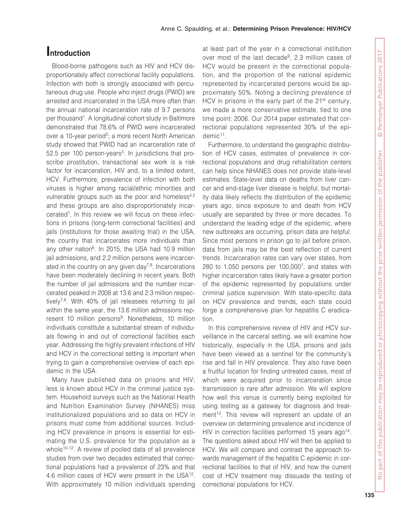# **Introduction**

Blood-borne pathogens such as HIV and HCV disproportionately affect correctional facility populations. Infection with both is strongly associated with percutaneous drug use. People who inject drugs (PWID) are arrested and incarcerated in the USA more often than the annual national incarceration rate of 9.7 persons per thousand<sup>1</sup>. A longitudinal cohort study in Baltimore demonstrated that 78.6% of PWID were incarcerated over a 10-year period<sup>2</sup>; a more recent North American study showed that PWID had an incarceration rate of 52.5 per 100 person-years<sup>3</sup>. In jurisdictions that proscribe prostitution, transactional sex work is a risk factor for incarceration, HIV and, to a limited extent, HCV. Furthermore, prevalence of infection with both viruses is higher among racial/ethnic minorities and vulnerable groups such as the poor and homeless<sup>4,5</sup> and these groups are also disproportionately incarcerated<sup>1</sup>. In this review we will focus on these infections in prisons (long-term correctional facilities) and jails (institutions for those awaiting trial) in the USA, the country that incarcerates more individuals than any other nation<sup>6</sup>. In 2015, the USA had 10.9 million jail admissions, and 2.2 million persons were incarcerated in the country on any given day<sup>7,8</sup>. Incarcerations have been moderately declining in recent years. Both the number of jail admissions and the number incarcerated peaked in 2008 at 13.6 and 2.3 million respectively7,8. With 40% of jail releasees returning to jail within the same year, the 13.6 million admissions represent 10 million persons<sup>9</sup>. Nonetheless, 10 million individuals constitute a substantial stream of individuals flowing in and out of correctional facilities each year. Addressing the highly prevalent infections of HIV and HCV in the correctional setting is important when trying to gain a comprehensive overview of each epidemic in the USA.

Many have published data on prisons and HIV; less is known about HCV in the criminal justice system. Household surveys such as the National Health and Nutrition Examination Survey (NHANES) miss institutionalized populations and so data on HCV in prisons must come from additional sources. Including HCV prevalence in prisons is essential for estimating the U.S. prevalence for the population as a whole<sup>10-12</sup>. A review of pooled data of all prevalence studies from over two decades estimated that correctional populations had a prevalence of 23% and that 4.6 million cases of HCV were present in the USA12. With approximately 10 million individuals spending

at least part of the year in a correctional institution over most of the last decade<sup>9</sup>, 2.3 million cases of HCV would be present in the correctional population, and the proportion of the national epidemic represented by incarcerated persons would be approximately 50%. Noting a declining prevalence of HCV in prisons in the early part of the  $21<sup>st</sup>$  century, we made a more conservative estimate, tied to one time point: 2006. Our 2014 paper estimated that correctional populations represented 30% of the epidemic<sup>11</sup>.

Furthermore, to understand the geographic distribution of HCV cases, estimates of prevalence in correctional populations and drug rehabilitation centers can help since NHANES does not provide state-level estimates. State-level data on deaths from liver cancer and end-stage liver disease is helpful, but mortality data likely reflects the distribution of the epidemic years ago, since exposure to and death from HCV usually are separated by three or more decades. To understand the leading edge of the epidemic, where new outbreaks are occurring, prison data are helpful. Since most persons in prison go to jail before prison, data from jails may be the best reflection of current trends. Incarceration rates can vary over states, from 280 to 1,050 persons per  $100,000^7$ , and states with higher incarceration rates likely have a greater portion of the epidemic represented by populations under criminal justice supervision. With state-specific data on HCV prevalence and trends, each state could forge a comprehensive plan for hepatitis C eradication.

In this comprehensive review of HIV and HCV surveillance in the carceral setting, we will examine how historically, especially in the USA, prisons and jails have been viewed as a sentinel for the community's rise and fall in HIV prevalence. They also have been a fruitful location for finding untreated cases, most of which were acquired prior to incarceration since transmission is rare after admission. We will explore how well this venue is currently being exploited for using testing as a gateway for diagnosis and treatment<sup>13</sup>. This review will represent an update of an overview on determining prevalence and incidence of HIV in correction facilities performed 15 years ago<sup>14</sup>. The questions asked about HIV will then be applied to HCV. We will compare and contrast the approach towards management of the hepatitis C epidemic in correctional facilities to that of HIV, and how the current cost of HCV treatment may dissuade the testing of correctional populations for HCV.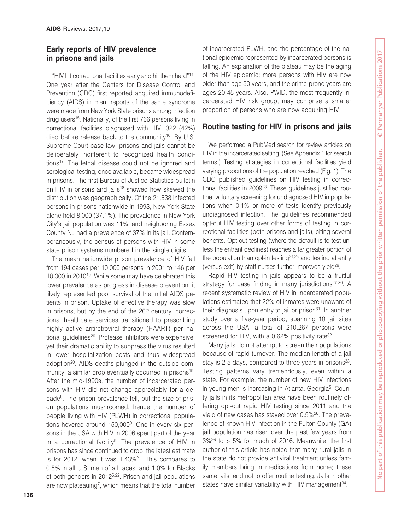#### **Early reports of HIV prevalence in prisons and jails**

"HIV hit correctional facilities early and hit them hard"14. One year after the Centers for Disease Control and Prevention (CDC) first reported acquired immunodeficiency (AIDS) in men, reports of the same syndrome were made from New York State prisons among injection drug users<sup>15</sup>. Nationally, of the first 766 persons living in correctional facilities diagnosed with HIV, 322 (42%) died before release back to the community<sup>16</sup>. By U.S. Supreme Court case law, prisons and jails cannot be deliberately indifferent to recognized health conditions<sup>17</sup>. The lethal disease could not be ignored and serological testing, once available, became widespread in prisons. The first Bureau of Justice Statistics bulletin on HIV in prisons and jails<sup>18</sup> showed how skewed the distribution was geographically. Of the 21,538 infected persons in prisons nationwide in 1993, New York State alone held 8,000 (37.1%). The prevalence in New York City's jail population was 11%, and neighboring Essex County NJ had a prevalence of 37% in its jail. Contemporaneously, the census of persons with HIV in some state prison systems numbered in the single digits.

The mean nationwide prison prevalence of HIV fell from 194 cases per 10,000 persons in 2001 to 146 per 10,000 in 201019. While some may have celebrated this lower prevalence as progress in disease prevention, it likely represented poor survival of the initial AIDS patients in prison. Uptake of effective therapy was slow in prisons, but by the end of the  $20<sup>th</sup>$  century, correctional healthcare services transitioned to prescribing highly active antiretroviral therapy (HAART) per national guidelines<sup>20</sup>. Protease inhibitors were expensive, yet their dramatic ability to suppress the virus resulted in lower hospitalization costs and thus widespread adoption<sup>20</sup>. AIDS deaths plunged in the outside community; a similar drop eventually occurred in prisons<sup>19</sup>. After the mid-1990s, the number of incarcerated persons with HIV did not change appreciably for a decade9. The prison prevalence fell, but the size of prison populations mushroomed, hence the number of people living with HIV (PLWH) in correctional populations hovered around 150,000<sup>9</sup>. One in every six persons in the USA with HIV in 2006 spent part of the year in a correctional facility $9$ . The prevalence of HIV in prisons has since continued to drop: the latest estimate is for 2012, when it was  $1.43\frac{21}{1}$ . This compares to 0.5% in all U.S. men of all races, and 1.0% for Blacks of both genders in 2012<sup>5,22</sup>. Prison and jail populations are now plateauing<sup>7</sup>, which means that the total number

of incarcerated PLWH, and the percentage of the national epidemic represented by incarcerated persons is falling. An explanation of the plateau may be the aging of the HIV epidemic; more persons with HIV are now older than age 50 years, and the crime-prone years are ages 20-45 years. Also, PWID, the most frequently incarcerated HIV risk group, may comprise a smaller proportion of persons who are now acquiring HIV.

# **Routine testing for HIV in prisons and jails**

We performed a PubMed search for review articles on HIV in the incarcerated setting. (See Appendix 1 for search terms.) Testing strategies in correctional facilities yield varying proportions of the population reached (Fig. 1). The CDC published guidelines on HIV testing in correctional facilities in 2009<sup>23</sup>. These guidelines justified routine, voluntary screening for undiagnosed HIV in populations when 0.1% or more of tests identify previously undiagnosed infection. The guidelines recommended opt-out HIV testing over other forms of testing in correctional facilities (both prisons and jails), citing several benefits. Opt-out testing (where the default is to test unless the entrant declines) reaches a far greater portion of the population than opt-in testing<sup>24,25</sup> and testing at entry (versus exit) by staff nurses further improves yield<sup>26</sup>.

Rapid HIV testing in jails appears to be a fruitful strategy for case finding in many jurisdictions<sup>27-30</sup>. A recent systematic review of HIV in incarcerated populations estimated that 22% of inmates were unaware of their diagnosis upon entry to jail or prison $31$ . In another study over a five-year period, spanning 10 jail sites across the USA, a total of 210,267 persons were screened for HIV, with a 0.62% positivity rate<sup>32</sup>.

Many jails do not attempt to screen their populations because of rapid turnover. The median length of a jail stay is 2-5 days, compared to three years in prisons<sup>33</sup>. Testing patterns vary tremendously, even within a state. For example, the number of new HIV infections in young men is increasing in Atlanta, Georgia<sup>5</sup>. County jails in its metropolitan area have been routinely offering opt-out rapid HIV testing since 2011 and the yield of new cases has stayed over 0.5%26. The prevalence of known HIV infection in the Fulton County (GA) jail population has risen over the past few years from  $3\frac{26}{6}$  to > 5% for much of 2016. Meanwhile, the first author of this article has noted that many rural jails in the state do not provide antiviral treatment unless family members bring in medications from home; these same jails tend not to offer routine testing. Jails in other states have similar variability with HIV management<sup>34</sup>.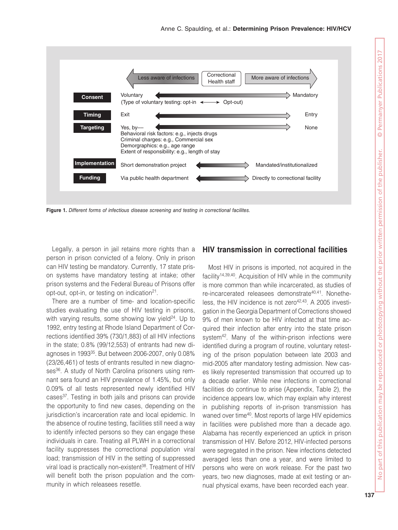

**Figure 1.** Different forms of infectious disease screening and testing in correctional facilites.

Legally, a person in jail retains more rights than a person in prison convicted of a felony. Only in prison can HIV testing be mandatory. Currently, 17 state prison systems have mandatory testing at intake; other prison systems and the Federal Bureau of Prisons offer opt-out, opt-in, or testing on indication<sup>21</sup>.

There are a number of time- and location-specific studies evaluating the use of HIV testing in prisons, with varying results, some showing low yield $24$ . Up to 1992, entry testing at Rhode Island Department of Corrections identified 39% (730/1,883) of all HIV infections in the state; 0.8% (99/12,553) of entrants had new diagnoses in 199335. But between 2006-2007, only 0.08% (23/26,461) of tests of entrants resulted in new diagnoses<sup>36</sup>. A study of North Carolina prisoners using remnant sera found an HIV prevalence of 1.45%, but only 0.09% of all tests represented newly identified HIV cases37. Testing in both jails and prisons can provide the opportunity to find new cases, depending on the jurisdiction's incarceration rate and local epidemic. In the absence of routine testing, facilities still need a way to identify infected persons so they can engage these individuals in care. Treating all PLWH in a correctional facility suppresses the correctional population viral load; transmission of HIV in the setting of suppressed viral load is practically non-existent<sup>38</sup>. Treatment of HIV will benefit both the prison population and the community in which releasees resettle.

#### **HIV transmission in correctional facilities**

Most HIV in prisons is imported, not acquired in the facility14,39,40. Acquisition of HIV while in the community is more common than while incarcerated, as studies of re-incarcerated releasees demonstrate<sup>40,41</sup>. Nonetheless, the HIV incidence is not zero $42,43$ . A 2005 investigation in the Georgia Department of Corrections showed 9% of men known to be HIV infected at that time acquired their infection after entry into the state prison system<sup>42</sup>. Many of the within-prison infections were identified during a program of routine, voluntary retesting of the prison population between late 2003 and mid-2005 after mandatory testing admission. New cases likely represented transmission that occurred up to a decade earlier. While new infections in correctional facilities do continue to arise (Appendix, Table 2), the incidence appears low, which may explain why interest in publishing reports of in-prison transmission has waned over time<sup>40</sup>. Most reports of large HIV epidemics in facilities were published more than a decade ago. Alabama has recently experienced an uptick in prison transmission of HIV. Before 2012, HIV-infected persons were segregated in the prison. New infections detected averaged less than one a year, and were limited to persons who were on work release. For the past two years, two new diagnoses, made at exit testing or annual physical exams, have been recorded each year.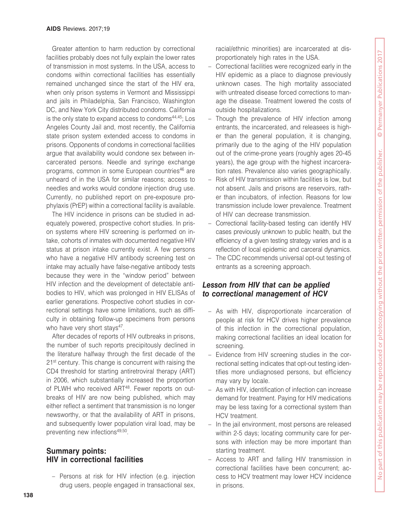Greater attention to harm reduction by correctional facilities probably does not fully explain the lower rates of transmission in most systems. In the USA, access to condoms within correctional facilities has essentially remained unchanged since the start of the HIV era, when only prison systems in Vermont and Mississippi and jails in Philadelphia, San Francisco, Washington DC, and New York City distributed condoms. California is the only state to expand access to condoms<sup>44,45</sup>; Los Angeles County Jail and, most recently, the California state prison system extended access to condoms in prisons. Opponents of condoms in correctional facilities argue that availability would condone sex between incarcerated persons. Needle and syringe exchange programs, common in some European countries<sup>46</sup> are unheard of in the USA for similar reasons; access to needles and works would condone injection drug use. Currently, no published report on pre-exposure prophylaxis (PrEP) within a correctional facility is available.

The HIV incidence in prisons can be studied in adequately powered, prospective cohort studies. In prison systems where HIV screening is performed on intake, cohorts of inmates with documented negative HIV status at prison intake currently exist. A few persons who have a negative HIV antibody screening test on intake may actually have false-negative antibody tests because they were in the "window period" between HIV infection and the development of detectable antibodies to HIV, which was prolonged in HIV ELISAs of earlier generations. Prospective cohort studies in correctional settings have some limitations, such as difficulty in obtaining follow-up specimens from persons who have very short stays<sup>47</sup>.

After decades of reports of HIV outbreaks in prisons, the number of such reports precipitously declined in the literature halfway through the first decade of the 21<sup>st</sup> century. This change is concurrent with raising the CD4 threshold for starting antiretroviral therapy (ART) in 2006, which substantially increased the proportion of PLWH who received ART<sup>48</sup>. Fewer reports on outbreaks of HIV are now being published, which may either reflect a sentiment that transmission is no longer newsworthy, or that the availability of ART in prisons, and subsequently lower population viral load, may be preventing new infections<sup>49,50</sup>.

#### **Summary points: HIV in correctional facilities**

– Persons at risk for HIV infection (e.g. injection drug users, people engaged in transactional sex, racial/ethnic minorities) are incarcerated at disproportionately high rates in the USA.

- Correctional facilities were recognized early in the HIV epidemic as a place to diagnose previously unknown cases. The high mortality associated with untreated disease forced corrections to manage the disease. Treatment lowered the costs of outside hospitalizations.
- Though the prevalence of HIV infection among entrants, the incarcerated, and releasees is higher than the general population, it is changing, primarily due to the aging of the HIV population out of the crime-prone years (roughly ages 20-45 years), the age group with the highest incarceration rates. Prevalence also varies geographically.
- Risk of HIV transmission within facilities is low, but not absent. Jails and prisons are reservoirs, rather than incubators, of infection. Reasons for low transmission include lower prevalence. Treatment of HIV can decrease transmission.
- Correctional facility-based testing can identify HIV cases previously unknown to public health, but the efficiency of a given testing strategy varies and is a reflection of local epidemic and carceral dynamics.
- The CDC recommends universal opt-out testing of entrants as a screening approach.

#### *Lesson from HIV that can be applied to correctional management of HCV*

- As with HIV, disproportionate incarceration of people at risk for HCV drives higher prevalence of this infection in the correctional population, making correctional facilities an ideal location for screening.
- Evidence from HIV screening studies in the correctional setting indicates that opt-out testing identifies more undiagnosed persons, but efficiency may vary by locale.
- As with HIV, identification of infection can increase demand for treatment. Paying for HIV medications may be less taxing for a correctional system than HCV treatment.
- In the jail environment, most persons are released within 2-5 days; locating community care for persons with infection may be more important than starting treatment.
- Access to ART and falling HIV transmission in correctional facilities have been concurrent; access to HCV treatment may lower HCV incidence in prisons.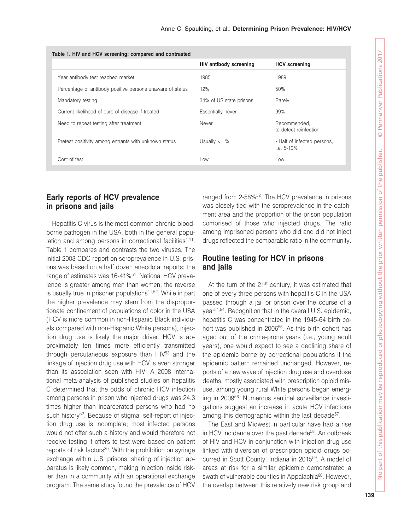| Table 1. HIV and HCV screening: compared and contrasted   |                               |                                             |  |  |  |
|-----------------------------------------------------------|-------------------------------|---------------------------------------------|--|--|--|
|                                                           | <b>HIV antibody screening</b> | <b>HCV</b> screening                        |  |  |  |
| Year antibody test reached market                         | 1985                          | 1989                                        |  |  |  |
| Percentage of antibody positive persons unaware of status | 12%                           | 50%                                         |  |  |  |
| Mandatory testing                                         | 34% of US state prisons       | Rarely                                      |  |  |  |
| Current likelihood of cure of disease if treated          | Essentially never             | 99%                                         |  |  |  |
| Need to repeat testing after treatment                    | Never                         | Recommended,<br>to detect reinfection       |  |  |  |
| Pretest positivity among entrants with unknown status     | Usually $< 1\%$               | ~Half of infected persons,<br>i.e. $5-10\%$ |  |  |  |
| Cost of test                                              | Low                           | Low                                         |  |  |  |

#### **Early reports of HCV prevalence in prisons and jails**

Hepatitis C virus is the most common chronic bloodborne pathogen in the USA, both in the general population and among persons in correctional facilities<sup>4,11</sup>. Table 1 compares and contrasts the two viruses. The initial 2003 CDC report on seroprevalence in U.S. prisons was based on a half dozen anecdotal reports; the range of estimates was 16-41%<sup>51</sup>. National HCV prevalence is greater among men than women; the reverse is usually true in prisoner populations<sup>11,52</sup>. While in part the higher prevalence may stem from the disproportionate confinement of populations of color in the USA (HCV is more common in non-Hispanic Black individuals compared with non-Hispanic White persons), injection drug use is likely the major driver. HCV is approximately ten times more efficiently transmitted through percutaneous exposure than HIV<sup>53</sup> and the linkage of injection drug use with HCV is even stronger than its association seen with HIV. A 2008 international meta-analysis of published studies on hepatitis C determined that the odds of chronic HCV infection among persons in prison who injected drugs was 24.3 times higher than incarcerated persons who had no such history<sup>52</sup>. Because of stigma, self-report of injection drug use is incomplete; most infected persons would not offer such a history and would therefore not receive testing if offers to test were based on patient reports of risk factors<sup>39</sup>. With the prohibition on syringe exchange within U.S. prisons, sharing of injection apparatus is likely common, making injection inside riskier than in a community with an operational exchange program. The same study found the prevalence of HCV

ranged from 2-58%<sup>52</sup>. The HCV prevalence in prisons was closely tied with the seroprevalence in the catchment area and the proportion of the prison population comprised of those who injected drugs. The ratio among imprisoned persons who did and did not inject drugs reflected the comparable ratio in the community.

# **Routine testing for HCV in prisons and jails**

At the turn of the  $21^{st}$  century, it was estimated that one of every three persons with hepatitis C in the USA passed through a jail or prison over the course of a year51,54. Recognition that in the overall U.S. epidemic, hepatitis C was concentrated in the 1945-64 birth cohort was published in 2006<sup>55</sup>. As this birth cohort has aged out of the crime-prone years (i.e., young adult years), one would expect to see a declining share of the epidemic borne by correctional populations if the epidemic pattern remained unchanged. However, reports of a new wave of injection drug use and overdose deaths, mostly associated with prescription opioid misuse, among young rural White persons began emerging in 2009<sup>56</sup>. Numerous sentinel surveillance investigations suggest an increase in acute HCV infections among this demographic within the last decade<sup>57</sup>.

The East and Midwest in particular have had a rise in HCV incidence over the past decade<sup>58</sup>. An outbreak of HIV and HCV in conjunction with injection drug use linked with diversion of prescription opioid drugs occurred in Scott County, Indiana in 201559. A model of areas at risk for a similar epidemic demonstrated a swath of vulnerable counties in Appalachia<sup>60</sup>. However, the overlap between this relatively new risk group and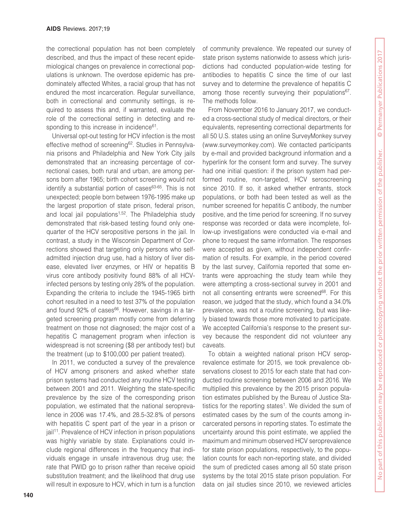the correctional population has not been completely described, and thus the impact of these recent epidemiological changes on prevalence in correctional populations is unknown. The overdose epidemic has predominately affected Whites, a racial group that has not endured the most incarceration. Regular surveillance, both in correctional and community settings, is required to assess this and, if warranted, evaluate the role of the correctional setting in detecting and responding to this increase in incidence<sup>61</sup>.

Universal opt-out testing for HCV infection is the most effective method of screening<sup>62</sup>. Studies in Pennsylvania prisons and Philadelphia and New York City jails demonstrated that an increasing percentage of correctional cases, both rural and urban, are among persons born after 1965; birth cohort screening would not identify a substantial portion of cases<sup>63-65</sup>. This is not unexpected; people born between 1976-1995 make up the largest proportion of state prison, federal prison, and local jail populations<sup>1,52</sup>. The Philadelphia study demonstrated that risk-based testing found only onequarter of the HCV seropositive persons in the jail. In contrast, a study in the Wisconsin Department of Corrections showed that targeting only persons who selfadmitted injection drug use, had a history of liver disease, elevated liver enzymes, or HIV or hepatitis B virus core antibody positivity found 88% of all HCVinfected persons by testing only 28% of the population. Expanding the criteria to include the 1945-1965 birth cohort resulted in a need to test 37% of the population and found 92% of cases<sup>66</sup>. However, savings in a targeted screening program mostly come from deferring treatment on those not diagnosed; the major cost of a hepatitis C management program when infection is widespread is not screening (\$8 per antibody test) but the treatment (up to \$100,000 per patient treated).

In 2011, we conducted a survey of the prevalence of HCV among prisoners and asked whether state prison systems had conducted any routine HCV testing between 2001 and 2011. Weighting the state-specific prevalence by the size of the corresponding prison population, we estimated that the national seroprevalence in 2006 was 17.4%, and 28.5-32.8% of persons with hepatitis C spent part of the year in a prison or jail<sup>11</sup>. Prevalence of HCV infection in prison populations was highly variable by state. Explanations could include regional differences in the frequency that individuals engage in unsafe intravenous drug use; the rate that PWID go to prison rather than receive opioid substitution treatment; and the likelihood that drug use will result in exposure to HCV, which in turn is a function

of community prevalence. We repeated our survey of state prison systems nationwide to assess which jurisdictions had conducted population-wide testing for antibodies to hepatitis C since the time of our last survey and to determine the prevalence of hepatitis C among those recently surveying their populations<sup>67</sup>. The methods follow.

From November 2016 to January 2017, we conducted a cross-sectional study of medical directors, or their equivalents, representing correctional departments for all 50 U.S. states using an online SurveyMonkey survey (www.surveymonkey.com). We contacted participants by e-mail and provided background information and a hyperlink for the consent form and survey. The survey had one initial question: if the prison system had performed routine, non-targeted, HCV seroscreening since 2010. If so, it asked whether entrants, stock populations, or both had been tested as well as the number screened for hepatitis C antibody, the number positive, and the time period for screening. If no survey response was recorded or data were incomplete, follow-up investigations were conducted via e-mail and phone to request the same information. The responses were accepted as given, without independent confirmation of results. For example, in the period covered by the last survey, California reported that some entrants were approaching the study team while they were attempting a cross-sectional survey in 2001 and not all consenting entrants were screened<sup>68</sup>. For this reason, we judged that the study, which found a 34.0% prevalence, was not a routine screening, but was likely biased towards those more motivated to participate. We accepted California's response to the present survey because the respondent did not volunteer any caveats.

To obtain a weighted national prison HCV seroprevalence estimate for 2015, we took prevalence observations closest to 2015 for each state that had conducted routine screening between 2006 and 2016. We multiplied this prevalence by the 2015 prison population estimates published by the Bureau of Justice Statistics for the reporting states<sup>1</sup>. We divided the sum of estimated cases by the sum of the counts among incarcerated persons in reporting states. To estimate the uncertainty around this point estimate, we applied the maximum and minimum observed HCV seroprevalence for state prison populations, respectively, to the population counts for each non-reporting state, and divided the sum of predicted cases among all 50 state prison systems by the total 2015 state prison population. For data on jail studies since 2010, we reviewed articles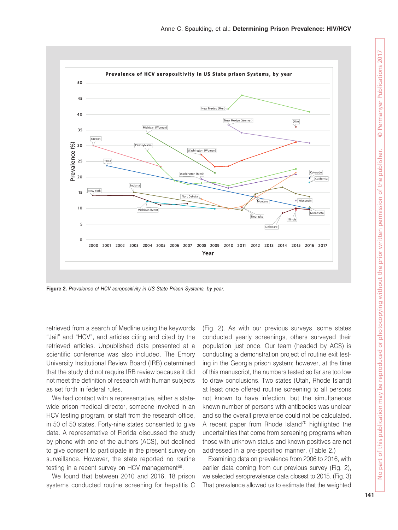

Figure 2. Prevalence of HCV seropositivity in US State Prison Systems, by year.

retrieved from a search of Medline using the keywords "Jail" and "HCV", and articles citing and cited by the retrieved articles. Unpublished data presented at a scientific conference was also included. The Emory University Institutional Review Board (IRB) determined that the study did not require IRB review because it did not meet the definition of research with human subjects as set forth in federal rules.

We had contact with a representative, either a statewide prison medical director, someone involved in an HCV testing program, or staff from the research office, in 50 of 50 states. Forty-nine states consented to give data. A representative of Florida discussed the study by phone with one of the authors (ACS), but declined to give consent to participate in the present survey on surveillance. However, the state reported no routine testing in a recent survey on HCV management<sup>69</sup>.

We found that between 2010 and 2016, 18 prison systems conducted routine screening for hepatitis C

(Fig. 2). As with our previous surveys, some states conducted yearly screenings, others surveyed their population just once. Our team (headed by ACS) is conducting a demonstration project of routine exit testing in the Georgia prison system; however, at the time of this manuscript, the numbers tested so far are too low to draw conclusions. Two states (Utah, Rhode Island) at least once offered routine screening to all persons not known to have infection, but the simultaneous known number of persons with antibodies was unclear and so the overall prevalence could not be calculated. A recent paper from Rhode Island<sup>70</sup> highlighted the uncertainties that come from screening programs when those with unknown status and known positives are not addressed in a pre-specified manner. (Table 2.)

Examining data on prevalence from 2006 to 2016, with earlier data coming from our previous survey (Fig. 2), we selected seroprevalence data closest to 2015. (Fig. 3) That prevalence allowed us to estimate that the weighted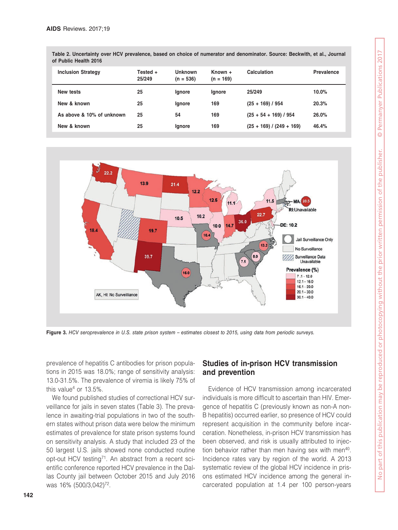| <b>Inclusion Strategy</b> | Tested +<br>25/249 | Unknown<br>$(n = 536)$ | $Known +$<br>$(n = 169)$ | Calculation                | Prevalence |
|---------------------------|--------------------|------------------------|--------------------------|----------------------------|------------|
| New tests                 | 25                 | lgnore                 | <b>Ignore</b>            | 25/249                     | $10.0\%$   |
| New & known               | 25                 | <b>Ignore</b>          | 169                      | $(25 + 169) / 954$         | 20.3%      |
| As above & 10% of unknown | 25                 | 54                     | 169                      | $(25 + 54 + 169) / 954$    | 26.0%      |
| New & known               | 25                 | <b>Ignore</b>          | 169                      | $(25 + 169) / (249 + 169)$ | 46.4%      |

**Table 2. Uncertainty over HCV prevalence, based on choice of numerator and denominator. Source: Beckwith, et al., Journal of Public Health 2016**



Figure 3. HCV seroprevalence in U.S. state prison system – estimates closest to 2015, using data from periodic surveys.

prevalence of hepatitis C antibodies for prison populations in 2015 was 18.0%; range of sensitivity analysis: 13.0-31.5%. The prevalence of viremia is likely 75% of this value<sup>4</sup> or  $13.5\%$ .

We found published studies of correctional HCV surveillance for jails in seven states (Table 3). The prevalence in awaiting-trial populations in two of the southern states without prison data were below the minimum estimates of prevalence for state prison systems found on sensitivity analysis. A study that included 23 of the 50 largest U.S. jails showed none conducted routine opt-out HCV testing<sup>71</sup>. An abstract from a recent scientific conference reported HCV prevalence in the Dallas County jail between October 2015 and July 2016 was 16% (500/3,042)<sup>72</sup>.

#### **Studies of in-prison HCV transmission and prevention**

Evidence of HCV transmission among incarcerated individuals is more difficult to ascertain than HIV. Emergence of hepatitis C (previously known as non-A non-B hepatitis) occurred earlier, so presence of HCV could represent acquisition in the community before incarceration. Nonetheless, in-prison HCV transmission has been observed, and risk is usually attributed to injection behavior rather than men having sex with men<sup>40</sup>. Incidence rates vary by region of the world. A 2013 systematic review of the global HCV incidence in prisons estimated HCV incidence among the general incarcerated population at 1.4 per 100 person-years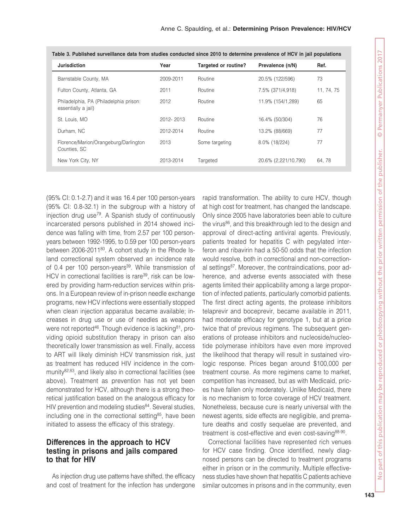| <b>Jurisdiction</b>                                           | Year      | Targeted or routine? | Prevalence (n/N)     | Ref.       |
|---------------------------------------------------------------|-----------|----------------------|----------------------|------------|
| Barnstable County, MA                                         | 2009-2011 | Routine              | 20.5% (122/596)      | 73         |
| Fulton County, Atlanta, GA                                    | 2011      | Routine              | 7.5% (371/4,918)     | 11, 74, 75 |
| Philadelphia, PA (Philadelphia prison:<br>essentially a jail) | 2012      | Routine              | 11.9% (154/1,289)    | 65         |
| St. Louis, MO                                                 | 2012-2013 | Routine              | 16.4% (50/304)       | 76         |
| Durham, NC                                                    | 2012-2014 | Routine              | 13.2% (88/669)       | 77         |
| Florence/Marion/Orangeburg/Darlington<br>Counties, SC         | 2013      | Some targeting       | 8.0% (18/224)        | 77         |
| New York City, NY                                             | 2013-2014 | Targeted             | 20.6% (2,221/10,790) | 64, 78     |

| Table 3. Published surveillance data from studies conducted since 2010 to determine prevalence of HCV in jail populations |  |
|---------------------------------------------------------------------------------------------------------------------------|--|
|---------------------------------------------------------------------------------------------------------------------------|--|

(95% CI: 0.1-2.7) and it was 16.4 per 100 person-years (95% CI: 0.8-32.1) in the subgroup with a history of injection drug use79. A Spanish study of continuously incarcerated persons published in 2014 showed incidence was falling with time, from 2.57 per 100 personyears between 1992-1995, to 0.59 per 100 person-years between 2006-2011<sup>80</sup>. A cohort study in the Rhode Island correctional system observed an incidence rate of 0.4 per 100 person-years<sup>39</sup>. While transmission of HCV in correctional facilities is rare<sup>39</sup>, risk can be lowered by providing harm-reduction services within prisons. In a European review of in-prison needle exchange programs, new HCV infections were essentially stopped when clean injection apparatus became available; increases in drug use or use of needles as weapons were not reported<sup>46</sup>. Though evidence is lacking<sup>81</sup>, providing opioid substitution therapy in prison can also theoretically lower transmission as well. Finally, access to ART will likely diminish HCV transmission risk, just as treatment has reduced HIV incidence in the community82,83, and likely also in correctional facilities (see above). Treatment as prevention has not yet been demonstrated for HCV, although there is a strong theoretical justification based on the analogous efficacy for HIV prevention and modeling studies<sup>84</sup>. Several studies, including one in the correctional setting $85$ , have been initiated to assess the efficacy of this strategy.

#### **Differences in the approach to HCV testing in prisons and jails compared to that for HIV**

As injection drug use patterns have shifted, the efficacy and cost of treatment for the infection has undergone rapid transformation. The ability to cure HCV, though at high cost for treatment, has changed the landscape. Only since 2005 have laboratories been able to culture the virus<sup>86</sup>, and this breakthrough led to the design and approval of direct-acting antiviral agents. Previously, patients treated for hepatitis C with pegylated interferon and ribavirin had a 50-50 odds that the infection would resolve, both in correctional and non-correctional settings<sup>87</sup>. Moreover, the contraindications, poor adherence, and adverse events associated with these agents limited their applicability among a large proportion of infected patients, particularly comorbid patients. The first direct acting agents, the protease inhibitors telaprevir and boceprevir, became available in 2011, had moderate efficacy for genotype 1, but at a price twice that of previous regimens. The subsequent generations of protease inhibitors and nucleoside/nucleotide polymerase inhibitors have even more improved the likelihood that therapy will result in sustained virologic response. Prices began around \$100,000 per treatment course. As more regimens came to market, competition has increased, but as with Medicaid, prices have fallen only moderately. Unlike Medicaid, there is no mechanism to force coverage of HCV treatment. Nonetheless, because cure is nearly universal with the newest agents, side effects are negligible, and premature deaths and costly sequelae are prevented, and treatment is cost-effective and even cost-saving<sup>88-90</sup>.

Correctional facilities have represented rich venues for HCV case finding. Once identified, newly diagnosed persons can be directed to treatment programs either in prison or in the community. Multiple effectiveness studies have shown that hepatitis C patients achieve similar outcomes in prisons and in the community, even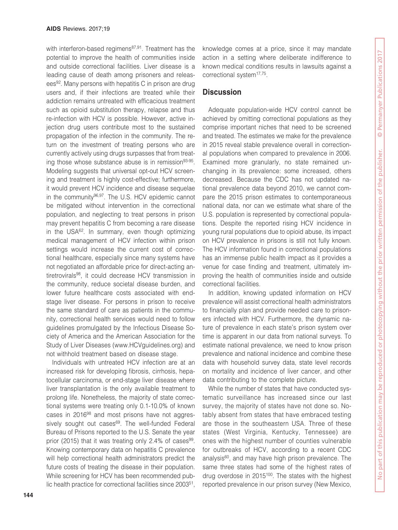with interferon-based regimens<sup>87,91</sup>. Treatment has the potential to improve the health of communities inside and outside correctional facilities. Liver disease is a leading cause of death among prisoners and releasees<sup>92</sup>. Many persons with hepatitis C in prison are drug users and, if their infections are treated while their addiction remains untreated with efficacious treatment such as opioid substitution therapy, relapse and thus re-infection with HCV is possible. However, active injection drug users contribute most to the sustained propagation of the infection in the community. The return on the investment of treating persons who are currently actively using drugs surpasses that from treating those whose substance abuse is in remission<sup>93-95</sup>. Modeling suggests that universal opt-out HCV screening and treatment is highly cost-effective; furthermore, it would prevent HCV incidence and disease sequelae in the community96,97. The U.S. HCV epidemic cannot be mitigated without intervention in the correctional population, and neglecting to treat persons in prison may prevent hepatitis C from becoming a rare disease in the USA<sup>62</sup>. In summary, even though optimizing medical management of HCV infection within prison settings would increase the current cost of correctional healthcare, especially since many systems have not negotiated an affordable price for direct-acting antiretrovirals98, it could decrease HCV transmission in the community, reduce societal disease burden, and lower future healthcare costs associated with endstage liver disease. For persons in prison to receive the same standard of care as patients in the community, correctional health services would need to follow guidelines promulgated by the Infectious Disease Society of America and the American Association for the Study of Liver Diseases (www.HCVguidelines.org) and not withhold treatment based on disease stage.

Individuals with untreated HCV infection are at an increased risk for developing fibrosis, cirrhosis, hepatocellular carcinoma, or end-stage liver disease where liver transplantation is the only available treatment to prolong life. Nonetheless, the majority of state correctional systems were treating only 0.1-10.0% of known cases in 201698 and most prisons have not aggressively sought out cases<sup>69</sup>. The well-funded Federal Bureau of Prisons reported to the U.S. Senate the year prior (2015) that it was treating only 2.4% of cases  $99$ . Knowing contemporary data on hepatitis C prevalence will help correctional health administrators predict the future costs of treating the disease in their population. While screening for HCV has been recommended public health practice for correctional facilities since 200351,

knowledge comes at a price, since it may mandate action in a setting where deliberate indifference to known medical conditions results in lawsuits against a correctional system<sup>17,75</sup>.

## **Discussion**

Adequate population-wide HCV control cannot be achieved by omitting correctional populations as they comprise important niches that need to be screened and treated. The estimates we make for the prevalence in 2015 reveal stable prevalence overall in correctional populations when compared to prevalence in 2006. Examined more granularly, no state remained unchanging in its prevalence: some increased, others decreased. Because the CDC has not updated national prevalence data beyond 2010, we cannot compare the 2015 prison estimates to contemporaneous national data, nor can we estimate what share of the U.S. population is represented by correctional populations. Despite the reported rising HCV incidence in young rural populations due to opioid abuse, its impact on HCV prevalence in prisons is still not fully known. The HCV information found in correctional populations has an immense public health impact as it provides a venue for case finding and treatment, ultimately improving the health of communities inside and outside correctional facilities.

In addition, knowing updated information on HCV prevalence will assist correctional health administrators to financially plan and provide needed care to prisoners infected with HCV. Furthermore, the dynamic nature of prevalence in each state's prison system over time is apparent in our data from national surveys. To estimate national prevalence, we need to know prison prevalence and national incidence and combine these data with household survey data, state level records on mortality and incidence of liver cancer, and other data contributing to the complete picture.

While the number of states that have conducted systematic surveillance has increased since our last survey, the majority of states have not done so. Notably absent from states that have embraced testing are those in the southeastern USA. Three of these states (West Virginia, Kentucky, Tennessee) are ones with the highest number of counties vulnerable for outbreaks of HCV, according to a recent CDC analysis<sup>60</sup>, and may have high prison prevalence. The same three states had some of the highest rates of drug overdose in 2015<sup>100</sup>. The states with the highest reported prevalence in our prison survey (New Mexico,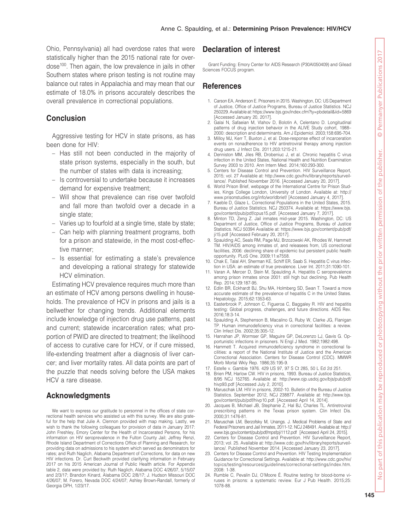Ohio, Pennsylvania) all had overdose rates that were statistically higher than the 2015 national rate for overdose100. Then again, the low prevalence in jails in other Southern states where prison testing is not routine may balance out rates in Appalachia and may mean that our estimate of 18.0% in prisons accurately describes the overall prevalence in correctional populations.

#### **Conclusion**

Aggressive testing for HCV in state prisons, as has been done for HIV:

- Has still not been conducted in the majority of state prison systems, especially in the south, but the number of states with data is increasing;
- Is controversial to undertake because it increases demand for expensive treatment;
- Will show that prevalence can rise over twofold and fall more than twofold over a decade in a single state;
- Varies up to fourfold at a single time, state by state;
- Can help with planning treatment programs, both for a prison and statewide, in the most cost-effective manner;
- Is essential for estimating a state's prevalence and developing a rational strategy for statewide HCV elimination.

Estimating HCV prevalence requires much more than an estimate of HCV among persons dwelling in households. The prevalence of HCV in prisons and jails is a bellwether for changing trends. Additional elements include knowledge of injection drug use patterns, past and current; statewide incarceration rates; what proportion of PWID are directed to treatment; the likelihood of access to curative care for HCV, or if cure missed, life-extending treatment after a diagnosis of liver cancer; and liver mortality rates. All data points are part of the puzzle that needs solving before the USA makes HCV a rare disease.

#### **Acknowledgments**

We want to express our gratitude to personnel in the offices of state correctional health services who assisted us with this survey. We are also grateful for the help that Julie A. Clennon provided with map making. Lastly, we wish to thank the following colleagues for provision of data in January 2017: John Freshley, Emory Center for the Health of Incarcerated Persons, for his information on HIV seroprevalence in the Fulton County Jail; Jeffrey Renzi, Rhode Island Department of Corrections Office of Planning and Research, for providing data on admissions to his system which served as denominators for rates; and Ruth Naglich, Alabama Department of Corrections, for data on new HIV infections. Dr. Curt Beckwith provided clarifying information in February 2017 on his 2015 American Journal of Public Health article. For Appendix table 2, data were provided by: Ruth Naglich, Alabama DOC 4/26/07, 5/15/07 and 2/3/17; Brandon Kinard, Alabama DOC 2/8/17; J. Hudson Missouri DOC 4/26/07; M. Forero, Nevada DOC 4/24/07; Ashley Brown-Randall, formerly of Georgia DPH, 1/23/17.

## **Declaration of interest**

Grant Funding: Emory Center for AIDS Research (P30AI050409) and Gilead Sciences FOCUS program.

#### **References**

- 1. Carson EA, Anderson E. Prisoners in 2015. Washington, DC: US Department of Justice, Office of Justice Programs, Bureau of Justice Statistics. NCJ 250229. Available at: https://www.bjs.gov/index.cfm?ty=pbdetail&iid=5869 [Accessed January 20, 2017].
- 2. Galai N, Safaeian M, Vlahov D, Bolotin A, Celentano D. Longitudinal patterns of drug injection behavior in the ALIVE Study cohort, 1988– 2000: description and determinants. Am J Epidemiol. 2003;158:695-704.
- 3. Milloy MJ, Kerr T, Buxton J, et al. Dose-response effect of incarceration events on nonadherence to HIV antiretroviral therapy among injection drug users. J Infect Dis. 2011;203:1215-21.
- 4. Denniston MM, Jiles RB, Drobeniuc J, et al. Chronic hepatitis C virus infection in the United States, National Health and Nutrition Examination Survey 2003 to 2010. Ann Intern Med. 2014;160:293-300.
- 5. Centers for Disease Control and Prevention. HIV Surveillance Report, 2015; vol. 27 Available at: http://www.cdc.gov/hiv/library/reports/surveillance/. Published November 2016. [Accessed January 20, 2017].
- 6. World Prison Brief, webpage of the International Centre for Prison Studies, Kings College London, University of London. Available at: http:// www.prisonstudies.org/info/worldbrief/ [Accessed January 4, 2017].
- 7. Kaeble D, Glaze L. Correctional Populations in the United States, 2015. Bureau of Justice Statistics. NCJ 250374. Available at: https://www.bjs. gov/content/pub/pdf/cpus15.pdf. [Accessed January 7, 2017].
- 8. Minton ID, Zeng Z. Jail inmates mid-year 2015. Washington, DC: US Department of Justice, Office of Justice Programs, Bureau of Justice Statistics. NCJ 50394 Available at: https://www.bjs.gov/content/pub/pdf/ ji15.pdf [Accessed February 20, 2017].
	- Spaulding AC, Seals RM, Page MJ, Brzozowski AK, Rhodes W, Hammett TM. HIV/AIDS among inmates of, and releasees from, US correctional facilities, 2006: declining share of epidemic but persistent public health opportunity. PLoS One. 2009;11:e7558.
- 10. Chak E, Talal AH, Sherman KE, Schiff ER, Saab S. Hepatitis C virus infection in USA: an estimate of true prevalence. Liver Int. 2011;31:1090-101.
- 11. Varan A, Mercer D, Stein M, Spaulding A. Hepatitis C seroprevalence among prison inmates since 2001: still high but declining. Pub Health Rep. 2014;129:187-95.
- 12. Edlin BR, Eckhardt BJ, Shu MA, Holmberg SD, Swan T. Toward a more accurate estimate of the prevalence of hepatitis C in the United States. Hepatology. 2015;62:1353-63.
- 13. Easterbrook P, Johnson C, Figueroa C, Baggaley R. HIV and hepatitis testing: Global progress, challenges, and future directions. AIDS Rev. 2016;18:3-14.
- 14. Spaulding A, Stephenson B, Macalino G, Ruby W, Clarke JG, Flanigan TP. Human immunodeficiency virus in correctional facilities: a review. Clin Infect Dis. 2002;35:305-12.
- 15. Hanrahan JP, Wormser GP, Maguire GP, DeLorenzo LJ, Gavis G. Opportunistic infections in prisoners. N Engl J Med. 1982;1982:498.
- 16. Hammett T. Acquired immunodeficiency syndrome in correctional facilities: a report of the National Institute of Justice and the American Correctional Association. Centers for Disease Control (CDC). MMWR Morb Mortal Wkly Rep. 1986;35:195-9.
- 17. Estelle v. Gamble 1976. 429 US 97, 97 S Ct 285, 50 L Ed 2d 251.
- 18. Brien PM, Harlow CW. HIV in prisons, 1993. Bureau of Justice Statistics, 8/95 NCJ 152765. Available at: http://www.ojp.usdoj.gov/bjs/pub/pdf/ hivp93.pdf [Accessed July 2, 2010].
- 19. Maruschak LM. HIV in prisons, 2002-10. Bulletin of the Bureau of Justice Statistics. September 2012, NCJ 238877. Available at: http://www.bjs. gov/content/pub/pdf/hivp10.pdf. [Accessed April 14, 2014].
- 20. Jacques B, Michael JB, Stephanie Z, Hal BJ, Charles TL. Antiretroviral prescribing patterns in the Texas prison system. Clin Infect Dis. 2000;31:1476-81.
- 21. Maruschak LM, Berzofsky M, Unangs. J. Medical Problems of State and Federal Prisoners and Jail Inmates, 2011-12. NCJ 248491. Available at: http:// www.bjs.gov/content/pub/pdf/mpsfpji1112.pdf [Accessed April 24, 2015].
- 22. Centers for Disease Control and Prevention. HIV Surveillance Report, 2013; vol. 25. Available at: http://www.cdc.gov/hiv/library/reports/surveillance/. Published November 2014. [Accessed January 23, 2017].
- 23. Centers for Disease Control and Prevention. HIV Testing Implementation Guidance for Correctional Settings. Available at: http://www.cdc.gov/hiv/ topics/testing/resources/guidelines/correctional-settings/index.htm. 2008: 1-38.
- 24. Rumble C, Pevalin DJ, O'Moore É. Routine testing for blood-borne viruses in prisons: a systematic review. Eur J Pub Health. 2015;25: 1078-88.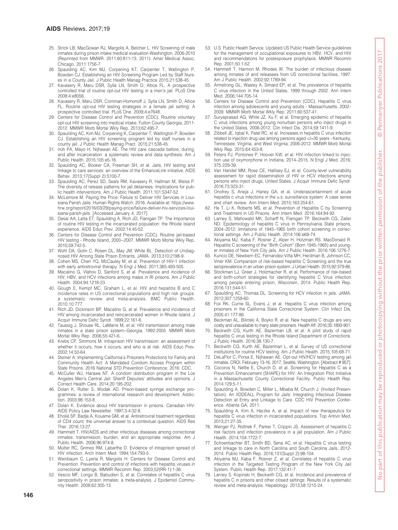- 25. Strick LB, MacGowan RJ, Margolis A, Belcher L. HIV Screening of male inmates during prison intake medical evaluation-Washington, 2006-2010 (Reprinted from MMWR. 2011;60:811-13. 2011). Amer Medical Assoc, Chicago. 2011:1756-7.
- 26. Spaulding AC, Kim MJ, Corpening KT, Carpenter T, Watlington P, Bowden CJ. Establishing an HIV Screening Program Led by Staff Nurs-es in a County Jail. J Public Health Manag Practice 2015;21:538-45.
- 27. Kavasery R, Maru DSR, Sylla LN, Smith D, Altice FL. A prospective controlled trial of routine opt-out HIV testing in a men's jail. PLoS One 2009;4:e8056.
- 28. Kavasery R, Maru DSR, Cornman-Homonoff J, Sylla LN, Smith D, Altice FL. Routine opt-out HIV testing strategies in a female jail setting: A prospective controlled trial. PLoS One. 2009;4:e7648.
- 29. Centers for Disease Control and Prevention (CDC). Routine voluntary opt-out HIV screening into medical intake, Fulton County Georgia, 2011- 2012. MMWR Morb Mortal Wkly Rep. 2013;62:495-7.
- 30. Spaulding AC, Kim MJ, Corpening K, Carpenter T, Watlington P, Bowden CJ. Establishing an HIV screening program led by staff nurses in a county jail. J Public Health Manag Pract. 2015;21:538-45.
- 31. Iroh PA, Mayo H, Nijhawan AE. The HIV care cascade before, during, and after incarceration: a systematic review and data synthesis. Am J Public Health. 2015;105:e5-16.
- 32. Spaulding AC, Booker CA, Freeman SH, et al. Jails, HIV testing and linkage to care services: an overview of the EnhanceLink initiative. AIDS Behav. 2013;17(Suppl 2):S100-7.
- 33. Spaulding AC, Perez SD, Seals RM, Kavasery R, Hallman M, Weiss P. The diversity of release patterns for jail detainees: Implications for public health interventions. Am J Public Health. 2011;101:S347-52.
- 34. McLemore M. Paying the Price: Failure to Deliver HIV Services in Louisiana Parish Jails. Human Rights Watch. 2016. Available at: https://www. hrw.org/report/2016/03/29/paying-price/failure-deliver-hiv-services-louisiana-parish-jails. [Accessed January 4, 2017].
- 35. Desai AA, Latta ET, Spaulding A, Rich JD, Flanigan TP. The importance of routine HIV testing in the incarcerated population: the Rhode Island experience. AIDS Educ Prev. 2002;14:45-52.
- 36. Centers for Disease Control and Prevention (CDC). Routine jail-based HIV testing - Rhode Island, 2000--2007. MMWR Morb Mortal Wkly Rep. 2010;59:742-5.
- 37. Wohl DA, Golin C, Rosen DL, May JM, White BL. Detection of Undiagnosed HIV Among State Prison Entrants. JAMA. 2013;310:2198-9.
- 38. Cohen MS, Chen YQ, McCauley M, et al. Prevention of HIV-1 infection with early antiretroviral therapy. N Engl J Med. 2011;365:493-505.
- 39. Macalino G, Vlahov D, Sanford S, et al. Prevalence and incidence of HIV, HBV, and HCV infections among males in RI prisons. Am J Public Health. 2004;94:1218-23.
- 40. Gough E, Kempf MC, Graham L, et al. HIV and hepatitis B and C incidence rates in US correctional populations and high risk groups: a systematic review and meta-analysis. BMC Public Health. 2010;10:777.
- 41. Rich JD, Dickinson BP, Macalino G, et al. Prevalence and incidence of HIV among incarcerated and reincarcerated women in Rhode Island. J Acquir Immune Defic Syndr. 1999;22:161-6.
- 42. Taussig J, Shouse RL, LaMarre M, et al. HIV transmission among male inmates in a state prison system--Georgia, 1992-2005. MMWR Morb Mortal Wkly Rep. 2006;55:421-6.
- 43. Krebs CP, Simmons M. Intraprison HIV transmission: an assessment of whether it occurs, how it occurs, and who is at risk. AIDS Educ Prev. 2002;14:53-64.
- 44. Steiner A. Implementing California's Prisoners Protections for Family and Community Health Act: A Mandated Condom Access Program within State Prisons. 2016 National STD Prevention Conference; 2016: CDC.
- 45. McCuller WJ, Harawa NT. A condom distribution program in the Los Angeles Men's Central Jail: Sheriff Deputies' attitudes and opinions. J Correct Health Care. 2014;20:195-202.
- 46. Dolan K, Rutter S, Wodak AD. Prison-based syringe exchange programmes: a review of international research and development. Addiction. 2003;98:153-8.
- 47. Dolan K. Evidence about HIV transmission in prisons. Canadian HIV-AIDS Policy Law Newsletter. 1997;3-4:32-8.
- 48. Eholié SP, Badje A, Kouame GM, et al. Antiretroviral treatment regardless of CD4 count: the universal answer to a contextual question. AIDS Res Ther. 2016;13:27.
- 49. Hammett T. HIV/AIDS and other infectious diseases among correctional inmates: transmission, burden, and an appropriate response. Am J Public Health. 2006;96:974-8.
- 50. Mutter RC, Grimes RM, Labarthe D. Evidence of intraprison spread of HIV infection. Arch Intern Med. 1994;154:793-5.
- 51. Weinbaum C, Lyerla R, Margolis H. Centers for Disease Control and Prevention. Prevention and control of infections with hepatitis viruses in correctional settings. MMWR Recomm Rep. 2003;52(RR-1):1-36.
- 52. Vescio MF, Longo B, Babudieri S, et al. Correlates of hepatitis C virus seropositivity in prison inmates: a meta-analysis. J Epidemiol Community Health. 2008;62:305-13.
- 53. U.S. Public Health Service. Updated US Public Health Service guidelines for the management of occupational exposures to HBV, HCV, and HIV and recommendations for postexposure prophylaxis. MMWR Recomm Rep. 2001;50:1-52.
- 54. Hammett T, Harmon M, Rhodes W. The burden of infectious disease among inmates of and releasees from US correctional facilities, 1997. Am J Public Health. 2002;92:1789-94.
- 55. Armstrong GL, Wasley A, Simard EP, et al. The prevalence of hepatitis C virus infection in the United States, 1999 through 2002. Ann Intern Med. 2006;144:705-14.
- 56. Centers for Disease Control and Prevention (CDC). Hepatitis C virus infection among adolescents and young adults - Massachusetts, 2002– 2009. MMWR Morb Mortal Wkly Rep. 2011;60:537-41.
- 57. Suryaprasad AG, White JZ, Xu F, et al. Emerging epidemic of hepatitis C virus infections among young nonurban persons who inject drugs in the United States, 2006-2012. Clin Infect Dis. 2014;59:1411-9.
- 58. Zibbell JE, Iqbal K, Patel RC, et al. Increases in hepatitis C virus infection related to injection drug use among persons aged </=30 years - Kentucky, Tennessee, Virginia, and West Virginia, 2006-2012. MMWR Morb Mortal Wkly Rep. 2015;64:453-8.
- 59. Peters PJ, Pontones P, Hoover KW, et al. HIV infection linked to injection use of oxymorphone in Indiana, 2014–2015. N Engl J Med. 2016; 375:229-39.
- 60. Van Handel MM, Rose CE, Hallisey EJ, et al. County-level vulnerability assessment for rapid dissemination of HIV or HCV infections among persons who inject drugs, United States. J Acquir Immune Defic Syndr. 2016;73:323-31.
- 61. Onofrey S, Aneja J, Haney GA, et al. Underascertainment of acute hepatitis c virus infections in the u.s. surveillance system: A case series and chart review. Ann Intern Med. 2015;163:254-61.
- 62. He T, Li K, Roberts MS, et al. Prevention of Hepatitis C by Screening and Treatment in US Prisons. Ann Intern Med. 2016;164:84-92.
- 63. Larney S, Mahowald MK, Scharff N, Flanigan TP, Beckwith CG, Zaller ND. Epidemiology of hepatitis C virus in Pennsylvania State prisons, 2004–2012: limitations of 1945–1965 birth cohort screening in correctional settings. Am J Public Health. 2014;106:e69-74.
- 64. Akiyama MJ, Kaba F, Rosner Z, Alper H, Holzman RS, MacDonald R. Hepatitis C screening of the "Birth Cohort" (Born 1945-1965) and younger inmates of New York City jails. Am J Public Health. 2016;106:1276-7.
- 65. Kuncio DE, Newbern EC, Fernandez-Viña MH, Herdman B, Johnson CC, Viner KM. Comparison of risk-based hepatitis C Screening and the true seroprevalence in an urban prison system. J Urban Health. 2015;92:379-86.
- 66. Stockman LJ, Greer J, Holzmacher R, et al. Performance of risk-based and birth-cohort strategies for identifying hepatitis C Virus infection among people entering prison, Wisconsin, 2014. Public Health Rep. 2016;131:544-51.
- 67. Spaulding AC, Thomas DL. Screening for HCV infection in jails. JAMA. 2012;307:1259-60.
- 68. Fox RK, Currie SL, Evans J, et al. Hepatitis C virus infection among prisoners in the California State Correctional System. Clin Infect Dis. 2005;41:177-86.
- 69. Beckman AL, Bilinski A, Boyko R, et al. New hepatitis C drugs are very costly and unavailable to many state prisoners. Health Aff. 2016;35:1893-901.
- 70. Beckwith CG, Kurth AE, Bazerman LB, et al. A pilot study of rapid hepatitis C virus testing in the Rhode Island Department of Corrections. J Public Health. 2016;38:130-7.
- 71. Beckwith CG, Kurth AE, Bazerman L, et al. Survey of US correctional institutions for routine HCV testing. Am J Public Health. 2015;105:68-71.
- 72. DeLaFlor C, Porsa E, Nijhawan AE. Opt-out HIV/HCV testing among jail inmates. CROI. February 13-16, 2017, Seattle, Washington. [Abstract # 957].
- 73. Cocoros N, Nettle E, Church D, et al. Screening for Hepatitis C as a Prevention Enhancement (SHAPE) for HIV: An Integration Pilot Initiative in a Massachusetts County Correctional Facility. Public Health Rep. 2014;129:5-11.
- 74. Spaulding A, Bowden C, Miller L, Mbaba M, Church J. (Invited Presentation). An IIDDEALL Program for Jails: Integrating Infectious Disease Detection at Entry and Linkage to Care. CDC HIV Prevention Conference. Atlanta GA, 2011.
- 75. Spaulding A, Kim A, Harzke A, et al. Impact of new therapeutics for hepatitis C virus infection in incarcerated populations. Top Antivir Med. 2013;21:27-35.
- 76. Wenger PJ, Rottnek F, Parker T, Crippin JS. Assessment of hepatitis C risk factors and infection prevalence in a jail population. Am J Public Health. 2014;104:1722-7.
- 77. Schoenbachler BT, Smith BD, Sena AC, et al. Hepatitis C virus testing and linkage to care in North Carolina and South Carolina Jails, 2012- 2014. Public Health Rep. 2016;131(Suppl 2):98-104.
- 78. Akiyama MJ, Kaba F, Rosner Z, et al. Correlates of hepatitis C virus infection in the Targeted Testing Program of the New York City Jail System. Public Health Rep. 2017;132:41-7.
- 79. Larney S, Kopinski H, Beckwith CG, et al. Incidence and prevalence of hepatitis C in prisons and other closed settings: Results of a systematic review and meta-analysis. Hepatology. 2013;58:1215-24.